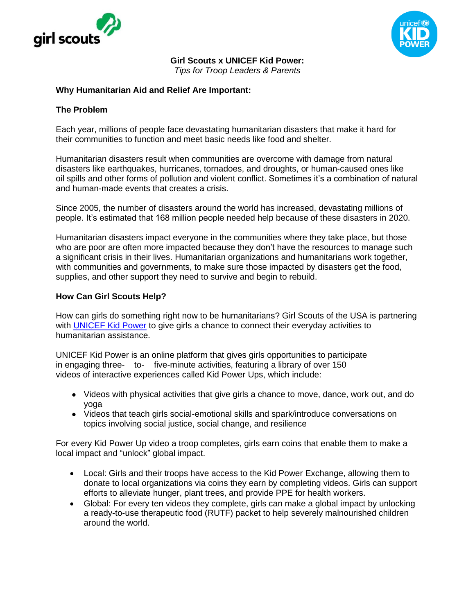



**Girl Scouts x UNICEF Kid Power:** 

*Tips for Troop Leaders & Parents*

## **Why Humanitarian Aid and Relief Are Important:**

#### **The Problem**

Each year, millions of people face devastating humanitarian disasters that make it hard for their communities to function and meet basic needs like food and shelter.

Humanitarian disasters result when communities are overcome with damage from natural disasters like earthquakes, hurricanes, tornadoes, and droughts, or human-caused ones like oil spills and other forms of pollution and violent conflict. Sometimes it's a combination of natural and human-made events that creates a crisis.

Since 2005, the number of disasters around the world has increased, devastating millions of people. It's estimated that 168 million people needed help because of these disasters in 2020.

Humanitarian disasters impact everyone in the communities where they take place, but those who are poor are often more impacted because they don't have the resources to manage such a significant crisis in their lives. Humanitarian organizations and humanitarians work together, with communities and governments, to make sure those impacted by disasters get the food, supplies, and other support they need to survive and begin to rebuild.

## **How Can Girl Scouts Help?**

How can girls do something right now to be humanitarians? Girl Scouts of the USA is partnering with [UNICEF Kid Power](https://www.unicefkidpower.org/girlscouts) to give girls a chance to connect their everyday activities to humanitarian assistance.

UNICEF Kid Power is an online platform that gives girls opportunities to participate in engaging three- to- five-minute activities, featuring a library of over 150 videos of interactive experiences called Kid Power Ups, which include:

- Videos with physical activities that give girls a chance to move, dance, work out, and do yoga
- Videos that teach girls social-emotional skills and spark/introduce conversations on topics involving social justice, social change, and resilience

For every Kid Power Up video a troop completes, girls earn coins that enable them to make a local impact and "unlock" global impact.

- Local: Girls and their troops have access to the Kid Power Exchange, allowing them to donate to local organizations via coins they earn by completing videos. Girls can support efforts to alleviate hunger, plant trees, and provide PPE for health workers.
- Global: For every ten videos they complete, girls can make a global impact by unlocking a ready-to-use therapeutic food (RUTF) packet to help severely malnourished children around the world.